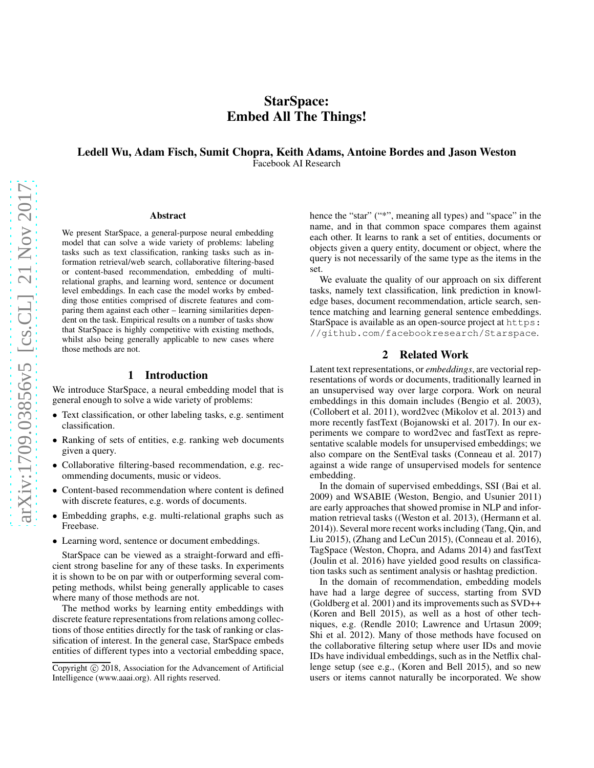# StarSpace: Embed All The Things!

# Ledell Wu, Adam Fisch, Sumit Chopra, Keith Adams, Antoine Bordes and Jason Weston Facebook AI Research

#### Abstract

We present StarSpace, a general-purpose neural embedding model that can solve a wide variety of problems: labeling tasks such as text classification, ranking tasks such as information retrieval/web search, collaborative filtering-based or content-based recommendation, embedding of multirelational graphs, and learning word, sentence or document level embeddings. In each case the model works by embedding those entities comprised of discrete features and comparing them against each other – learning similarities dependent on the task. Empirical results on a number of tasks show that StarSpace is highly competitive with existing methods, whilst also being generally applicable to new cases where those methods are not.

# 1 Introduction

We introduce StarSpace, a neural embedding model that is general enough to solve a wide variety of problems:

- Text classification, or other labeling tasks, e.g. sentiment classification.
- Ranking of sets of entities, e.g. ranking web documents given a query.
- Collaborative filtering-based recommendation, e.g. recommending documents, music or videos.
- Content-based recommendation where content is defined with discrete features, e.g. words of documents.
- Embedding graphs, e.g. multi-relational graphs such as Freebase.
- Learning word, sentence or document embeddings.

StarSpace can be viewed as a straight-forward and efficient strong baseline for any of these tasks. In experiments it is shown to be on par with or outperforming several competing methods, whilst being generally applicable to cases where many of those methods are not.

The method works by learning entity embeddings with discrete feature representations from relations among collections of those entities directly for the task of ranking or classification of interest. In the general case, StarSpace embeds entities of different types into a vectorial embedding space, hence the "star" ("\*", meaning all types) and "space" in the name, and in that common space compares them against each other. It learns to rank a set of entities, documents or objects given a query entity, document or object, where the query is not necessarily of the same type as the items in the set.

We evaluate the quality of our approach on six different tasks, namely text classification, link prediction in knowledge bases, document recommendation, article search, sentence matching and learning general sentence embeddings. StarSpace is available as an open-source project at https: //github.com/facebookresearch/Starspace.

# 2 Related Work

Latent text representations, or *embeddings*, are vectorial representations of words or documents, traditionally learned in an unsupervised way over large corpora. Work on neural embeddings in this domain includes (Bengio et al. 2003), (Collobert et al. 2011), word2vec (Mikolov et al. 2013) and more recently fastText (Bojanowski et al. 2017). In our experiments we compare to word2vec and fastText as representative scalable models for unsupervised embeddings; we also compare on the SentEval tasks (Conneau et al. 2017) against a wide range of unsupervised models for sentence embedding.

In the domain of supervised embeddings, SSI (Bai et al. 2009) and WSABIE (Weston, Bengio, and Usunier 2011) are early approaches that showed promise in NLP and information retrieval tasks ((Weston et al. 2013), (Hermann et al. 2014)). Several more recent works including (Tang, Qin, and Liu 2015), (Zhang and LeCun 2015), (Conneau et al. 2016), TagSpace (Weston, Chopra, and Adams 2014) and fastText (Joulin et al. 2016) have yielded good results on classification tasks such as sentiment analysis or hashtag prediction.

In the domain of recommendation, embedding models have had a large degree of success, starting from SVD (Goldberg et al. 2001) and its improvements such as SVD++ (Koren and Bell 2015), as well as a host of other techniques, e.g. (Rendle 2010; Lawrence and Urtasun 2009; Shi et al. 2012). Many of those methods have focused on the collaborative filtering setup where user IDs and movie IDs have individual embeddings, such as in the Netflix challenge setup (see e.g., (Koren and Bell 2015), and so new users or items cannot naturally be incorporated. We show

Copyright (c) 2018, Association for the Advancement of Artificial Intelligence (www.aaai.org). All rights reserved.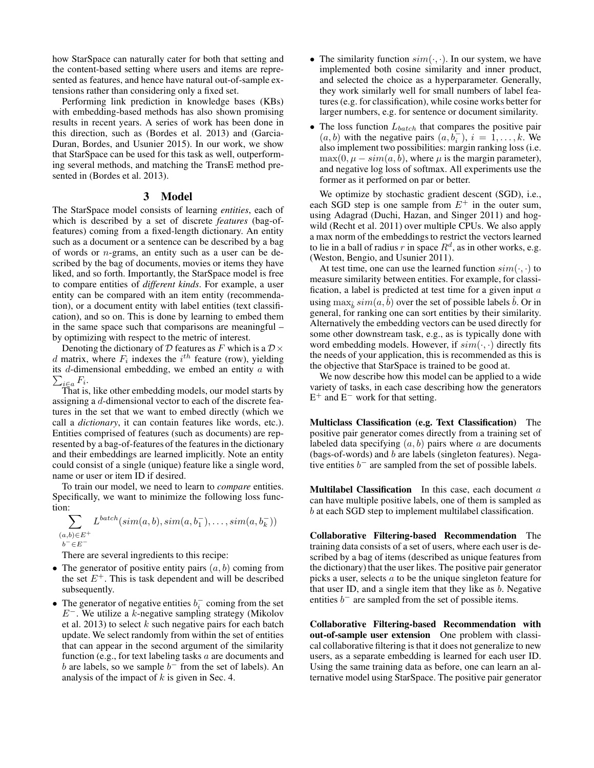how StarSpace can naturally cater for both that setting and the content-based setting where users and items are represented as features, and hence have natural out-of-sample extensions rather than considering only a fixed set.

Performing link prediction in knowledge bases (KBs) with embedding-based methods has also shown promising results in recent years. A series of work has been done in this direction, such as (Bordes et al. 2013) and (Garcia-Duran, Bordes, and Usunier 2015). In our work, we show that StarSpace can be used for this task as well, outperforming several methods, and matching the TransE method presented in (Bordes et al. 2013).

## 3 Model

The StarSpace model consists of learning *entities*, each of which is described by a set of discrete *features* (bag-offeatures) coming from a fixed-length dictionary. An entity such as a document or a sentence can be described by a bag of words or n-grams, an entity such as a user can be described by the bag of documents, movies or items they have liked, and so forth. Importantly, the StarSpace model is free to compare entities of *different kinds*. For example, a user entity can be compared with an item entity (recommendation), or a document entity with label entities (text classification), and so on. This is done by learning to embed them in the same space such that comparisons are meaningful – by optimizing with respect to the metric of interest.

Denoting the dictionary of D features as F which is a  $\mathcal{D} \times$ d matrix, where  $F_i$  indexes the  $i^{th}$  feature (row), yielding  $\sum_{i\in a}F_i$ . its  $d$ -dimensional embedding, we embed an entity  $a$  with

That is, like other embedding models, our model starts by assigning a d-dimensional vector to each of the discrete features in the set that we want to embed directly (which we call a *dictionary*, it can contain features like words, etc.). Entities comprised of features (such as documents) are represented by a bag-of-features of the features in the dictionary and their embeddings are learned implicitly. Note an entity could consist of a single (unique) feature like a single word, name or user or item ID if desired.

To train our model, we need to learn to *compare* entities. Specifically, we want to minimize the following loss function:

$$
\sum_{\substack{(a,b)\in E^+\\b^-\in E^-}} L^{batch}(sim(a,b),sim(a,b_1^-),\ldots,sim(a,b_k^-))
$$

There are several ingredients to this recipe:

- The generator of positive entity pairs  $(a, b)$  coming from the set  $E^+$ . This is task dependent and will be described subsequently.
- The generator of negative entities  $b_i^-$  coming from the set  $E^-$ . We utilize a k-negative sampling strategy (Mikolov et al. 2013) to select  $k$  such negative pairs for each batch update. We select randomly from within the set of entities that can appear in the second argument of the similarity function (e.g., for text labeling tasks a are documents and b are labels, so we sample  $b^-$  from the set of labels). An analysis of the impact of  $k$  is given in Sec. 4.
- The similarity function  $sim(\cdot, \cdot)$ . In our system, we have implemented both cosine similarity and inner product, and selected the choice as a hyperparameter. Generally, they work similarly well for small numbers of label features (e.g. for classification), while cosine works better for larger numbers, e.g. for sentence or document similarity.
- The loss function  $L_{batch}$  that compares the positive pair  $(a, b)$  with the negative pairs  $(a, b_i^-), i = 1, \ldots, k$ . We also implement two possibilities: margin ranking loss (i.e.  $\max(0, \mu - sim(a, b))$ , where  $\mu$  is the margin parameter), and negative log loss of softmax. All experiments use the former as it performed on par or better.

We optimize by stochastic gradient descent (SGD), i.e., each SGD step is one sample from  $E^+$  in the outer sum, using Adagrad (Duchi, Hazan, and Singer 2011) and hogwild (Recht et al. 2011) over multiple CPUs. We also apply a max norm of the embeddings to restrict the vectors learned to lie in a ball of radius r in space  $R^d$ , as in other works, e.g. (Weston, Bengio, and Usunier 2011).

At test time, one can use the learned function  $sim(\cdot, \cdot)$  to measure similarity between entities. For example, for classification, a label is predicted at test time for a given input  $a$ using  $\max_{\hat{b}} sim(a, \hat{b})$  over the set of possible labels  $\hat{b}$ . Or in general, for ranking one can sort entities by their similarity. Alternatively the embedding vectors can be used directly for some other downstream task, e.g., as is typically done with word embedding models. However, if  $sim(\cdot, \cdot)$  directly fits the needs of your application, this is recommended as this is the objective that StarSpace is trained to be good at.

We now describe how this model can be applied to a wide variety of tasks, in each case describing how the generators  $E^+$  and  $E^-$  work for that setting.

Multiclass Classification (e.g. Text Classification) The positive pair generator comes directly from a training set of labeled data specifying  $(a, b)$  pairs where a are documents (bags-of-words) and b are labels (singleton features). Negative entities  $b^-$  are sampled from the set of possible labels.

**Multilabel Classification** In this case, each document  $a$ can have multiple positive labels, one of them is sampled as b at each SGD step to implement multilabel classification.

Collaborative Filtering-based Recommendation The training data consists of a set of users, where each user is described by a bag of items (described as unique features from the dictionary) that the user likes. The positive pair generator picks a user, selects a to be the unique singleton feature for that user ID, and a single item that they like as  $b$ . Negative entities  $b^-$  are sampled from the set of possible items.

Collaborative Filtering-based Recommendation with out-of-sample user extension One problem with classical collaborative filtering is that it does not generalize to new users, as a separate embedding is learned for each user ID. Using the same training data as before, one can learn an alternative model using StarSpace. The positive pair generator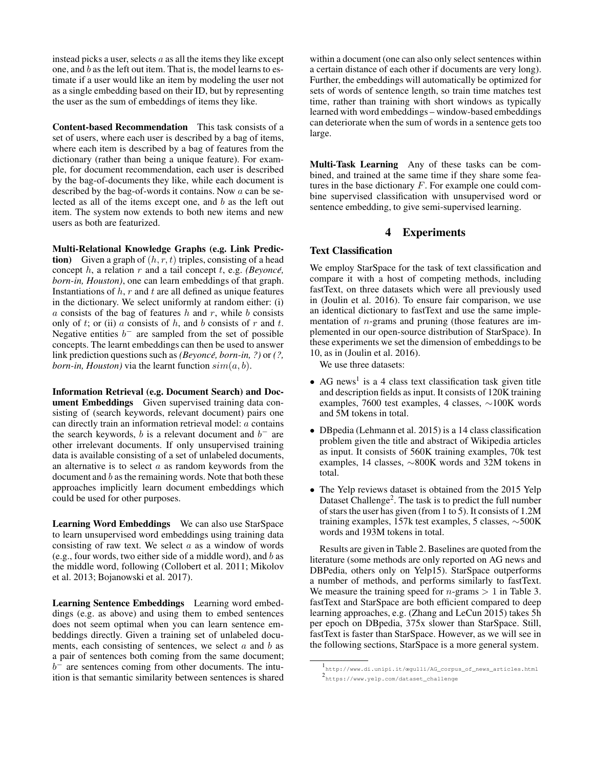instead picks a user, selects  $a$  as all the items they like except one, and b as the left out item. That is, the model learns to estimate if a user would like an item by modeling the user not as a single embedding based on their ID, but by representing the user as the sum of embeddings of items they like.

Content-based Recommendation This task consists of a set of users, where each user is described by a bag of items, where each item is described by a bag of features from the dictionary (rather than being a unique feature). For example, for document recommendation, each user is described by the bag-of-documents they like, while each document is described by the bag-of-words it contains. Now a can be selected as all of the items except one, and  $b$  as the left out item. The system now extends to both new items and new users as both are featurized.

Multi-Relational Knowledge Graphs (e.g. Link Prediction) Given a graph of  $(h, r, t)$  triples, consisting of a head concept  $h$ , a relation  $r$  and a tail concept  $t$ , e.g. *(Beyoncé, born-in, Houston)*, one can learn embeddings of that graph. Instantiations of  $h$ ,  $r$  and  $t$  are all defined as unique features in the dictionary. We select uniformly at random either: (i)  $a$  consists of the bag of features  $h$  and  $r$ , while  $b$  consists only of t; or (ii) a consists of h, and b consists of r and t. Negative entities  $b^-$  are sampled from the set of possible concepts. The learnt embeddings can then be used to answer link prediction questions such as *(Beyonce, born-in, ?)* or *(?, born-in, Houston*) via the learnt function  $sim(a, b)$ .

Information Retrieval (e.g. Document Search) and Document Embeddings Given supervised training data consisting of (search keywords, relevant document) pairs one can directly train an information retrieval model: a contains the search keywords, b is a relevant document and  $b^-$  are other irrelevant documents. If only unsupervised training data is available consisting of a set of unlabeled documents, an alternative is to select  $a$  as random keywords from the document and  $b$  as the remaining words. Note that both these approaches implicitly learn document embeddings which could be used for other purposes.

Learning Word Embeddings We can also use StarSpace to learn unsupervised word embeddings using training data consisting of raw text. We select  $a$  as a window of words (e.g., four words, two either side of a middle word), and  $b$  as the middle word, following (Collobert et al. 2011; Mikolov et al. 2013; Bojanowski et al. 2017).

Learning Sentence Embeddings Learning word embeddings (e.g. as above) and using them to embed sentences does not seem optimal when you can learn sentence embeddings directly. Given a training set of unlabeled documents, each consisting of sentences, we select  $a$  and  $b$  as a pair of sentences both coming from the same document;  $b<sup>-</sup>$  are sentences coming from other documents. The intuition is that semantic similarity between sentences is shared

within a document (one can also only select sentences within a certain distance of each other if documents are very long). Further, the embeddings will automatically be optimized for sets of words of sentence length, so train time matches test time, rather than training with short windows as typically learned with word embeddings – window-based embeddings can deteriorate when the sum of words in a sentence gets too large.

Multi-Task Learning Any of these tasks can be combined, and trained at the same time if they share some features in the base dictionary F. For example one could combine supervised classification with unsupervised word or sentence embedding, to give semi-supervised learning.

## **Experiments**

# Text Classification

We employ StarSpace for the task of text classification and compare it with a host of competing methods, including fastText, on three datasets which were all previously used in (Joulin et al. 2016). To ensure fair comparison, we use an identical dictionary to fastText and use the same implementation of n-grams and pruning (those features are implemented in our open-source distribution of StarSpace). In these experiments we set the dimension of embeddings to be 10, as in (Joulin et al. 2016).

We use three datasets:

- AG news<sup>1</sup> is a 4 class text classification task given title and description fields as input. It consists of 120K training examples, 7600 test examples, 4 classes, ∼100K words and 5M tokens in total.
- DBpedia (Lehmann et al. 2015) is a 14 class classification problem given the title and abstract of Wikipedia articles as input. It consists of 560K training examples, 70k test examples, 14 classes, ∼800K words and 32M tokens in total.
- The Yelp reviews dataset is obtained from the 2015 Yelp Dataset Challenge<sup>2</sup>. The task is to predict the full number of stars the user has given (from 1 to 5). It consists of 1.2M training examples, 157k test examples, 5 classes, ∼500K words and 193M tokens in total.

Results are given in Table 2. Baselines are quoted from the literature (some methods are only reported on AG news and DBPedia, others only on Yelp15). StarSpace outperforms a number of methods, and performs similarly to fastText. We measure the training speed for  $n$ -grams  $> 1$  in Table 3. fastText and StarSpace are both efficient compared to deep learning approaches, e.g. (Zhang and LeCun 2015) takes 5h per epoch on DBpedia, 375x slower than StarSpace. Still, fastText is faster than StarSpace. However, as we will see in the following sections, StarSpace is a more general system.

<sup>1</sup> http://www.di.unipi.it/œgulli/AG\_corpus\_of\_news\_articles.html 2 https://www.yelp.com/dataset\_challenge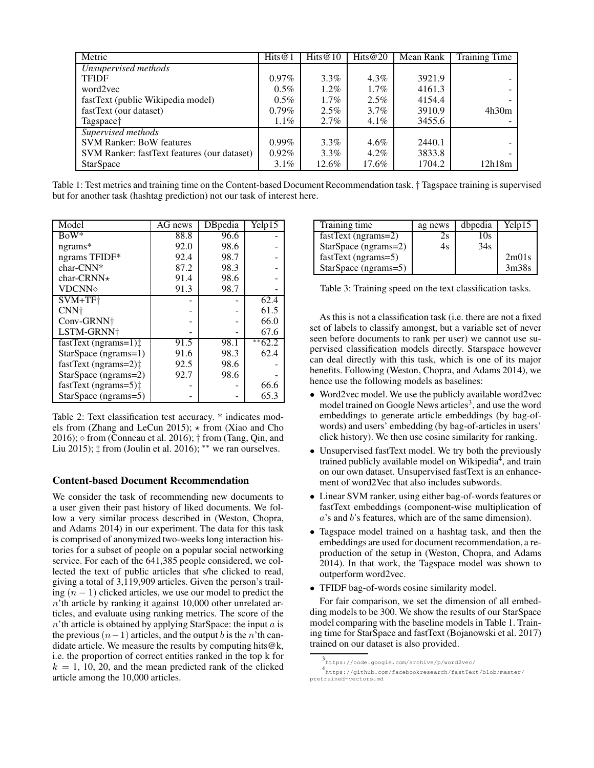| Metric                                      | Hits $@1$ | Hits $@10$ | Hits $@20$ | Mean Rank | <b>Training Time</b> |
|---------------------------------------------|-----------|------------|------------|-----------|----------------------|
| Unsupervised methods                        |           |            |            |           |                      |
| <b>TFIDF</b>                                | $0.97\%$  | $3.3\%$    | $4.3\%$    | 3921.9    |                      |
| word2yec                                    | $0.5\%$   | $1.2\%$    | $1.7\%$    | 4161.3    |                      |
| fastText (public Wikipedia model)           | $0.5\%$   | $1.7\%$    | $2.5\%$    | 4154.4    |                      |
| fastText (our dataset)                      | $0.79\%$  | 2.5%       | $3.7\%$    | 3910.9    | 4h30m                |
| Tagspace <sup>†</sup>                       | $1.1\%$   | $2.7\%$    | $4.1\%$    | 3455.6    |                      |
| Supervised methods                          |           |            |            |           |                      |
| <b>SVM Ranker: BoW features</b>             | $0.99\%$  | $3.3\%$    | $4.6\%$    | 2440.1    |                      |
| SVM Ranker: fastText features (our dataset) | $0.92\%$  | $3.3\%$    | $4.2\%$    | 3833.8    |                      |
| <b>StarSpace</b>                            | $3.1\%$   | 12.6%      | 17.6%      | 1704.2    | 12h18m               |

Table 1: Test metrics and training time on the Content-based Document Recommendation task. † Tagspace training is supervised but for another task (hashtag prediction) not our task of interest here.

| Model                            | AG news | DBpedia | Yelp15     |
|----------------------------------|---------|---------|------------|
| $BoW^*$                          | 88.8    | 96.6    |            |
| ngrams*                          | 92.0    | 98.6    |            |
| ngrams TFIDF*                    | 92.4    | 98.7    |            |
| $char-CNN*$                      | 87.2    | 98.3    |            |
| char-CRNN $\star$                | 91.4    | 98.6    |            |
| <b>VDCNNo</b>                    | 91.3    | 98.7    |            |
| SVM+TF <sup>+</sup>              |         |         | 62.4       |
| CNN <sup>+</sup>                 |         |         | 61.5       |
| Conv-GRNN+                       |         |         | 66.0       |
| LSTM-GRNN <sup>+</sup>           |         |         | 67.6       |
| $fastText$ (ngrams=1) $\ddagger$ | 91.5    | 98.1    | $*$ $62.2$ |
| StarSpace (ngrams=1)             | 91.6    | 98.3    | 62.4       |
| fastText (ngrams=2) <sup>±</sup> | 92.5    | 98.6    |            |
| StarSpace (ngrams=2)             | 92.7    | 98.6    |            |
| fastText (ngrams=5) $\ddagger$   |         |         | 66.6       |
| StarSpace (ngrams=5)             |         |         | 65.3       |

Table 2: Text classification test accuracy. \* indicates models from (Zhang and LeCun 2015);  $\star$  from (Xiao and Cho 2016);  $\diamond$  from (Conneau et al. 2016);  $\dagger$  from (Tang, Qin, and Liu 2015);  $\ddagger$  from (Joulin et al. 2016); \*\* we ran ourselves.

# Content-based Document Recommendation

We consider the task of recommending new documents to a user given their past history of liked documents. We follow a very similar process described in (Weston, Chopra, and Adams 2014) in our experiment. The data for this task is comprised of anonymized two-weeks long interaction histories for a subset of people on a popular social networking service. For each of the 641,385 people considered, we collected the text of public articles that s/he clicked to read, giving a total of 3,119,909 articles. Given the person's trailing  $(n - 1)$  clicked articles, we use our model to predict the  $n$ 'th article by ranking it against 10,000 other unrelated articles, and evaluate using ranking metrics. The score of the  $n'$ th article is obtained by applying StarSpace: the input  $a$  is the previous  $(n-1)$  articles, and the output b is the n'th candidate article. We measure the results by computing hits@k, i.e. the proportion of correct entities ranked in the top k for  $k = 1, 10, 20,$  and the mean predicted rank of the clicked article among the 10,000 articles.

| Training time         | ag news | dbpedia | Yelp15 |
|-----------------------|---------|---------|--------|
| $fastText$ (ngrams=2) | ΖS      | 10s     |        |
| StarSpace (ngrams=2)  | 4s      | 34s     |        |
| $fastText$ (ngrams=5) |         |         | 2m01s  |
| StarSpace (ngrams=5)  |         |         | 3m38s  |

Table 3: Training speed on the text classification tasks.

As this is not a classification task (i.e. there are not a fixed set of labels to classify amongst, but a variable set of never seen before documents to rank per user) we cannot use supervised classification models directly. Starspace however can deal directly with this task, which is one of its major benefits. Following (Weston, Chopra, and Adams 2014), we hence use the following models as baselines:

- Word2vec model. We use the publicly available word2vec model trained on Google News articles<sup>3</sup>, and use the word embeddings to generate article embeddings (by bag-ofwords) and users' embedding (by bag-of-articles in users' click history). We then use cosine similarity for ranking.
- Unsupervised fastText model. We try both the previously trained publicly available model on Wikipedia<sup>4</sup>, and train on our own dataset. Unsupervised fastText is an enhancement of word2Vec that also includes subwords.
- Linear SVM ranker, using either bag-of-words features or fastText embeddings (component-wise multiplication of a's and b's features, which are of the same dimension).
- Tagspace model trained on a hashtag task, and then the embeddings are used for document recommendation, a reproduction of the setup in (Weston, Chopra, and Adams 2014). In that work, the Tagspace model was shown to outperform word2vec.
- TFIDF bag-of-words cosine similarity model.

For fair comparison, we set the dimension of all embedding models to be 300. We show the results of our StarSpace model comparing with the baseline models in Table 1. Training time for StarSpace and fastText (Bojanowski et al. 2017) trained on our dataset is also provided.

<sup>3</sup> https://code.google.com/archive/p/word2vec/

<sup>4</sup> https://github.com/facebookresearch/fastText/blob/master/ pretrained-vectors.md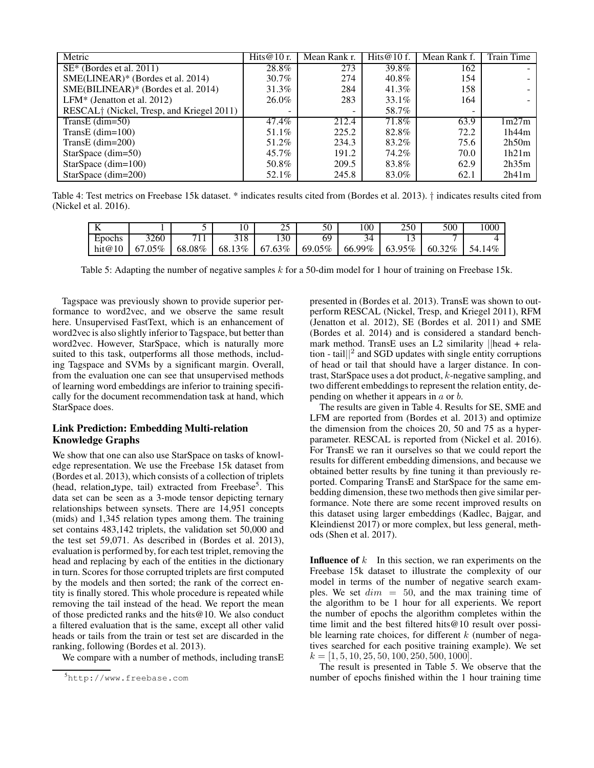| Metric                                                | Hits@10 r. | Mean Rank r. | Hits $@10f$ . | Mean Rank f. | <b>Train Time</b> |
|-------------------------------------------------------|------------|--------------|---------------|--------------|-------------------|
| $SE*$ (Bordes et al. 2011)                            | 28.8%      | 273          | 39.8%         | 162          |                   |
| SME(LINEAR)* (Bordes et al. 2014)                     | 30.7%      | 274          | 40.8%         | 154          |                   |
| SME(BILINEAR)* (Bordes et al. 2014)                   | 31.3%      | 284          | 41.3%         | 158          |                   |
| LFM* (Jenatton et al. $2012$ )                        | 26.0%      | 283          | 33.1%         | 164          |                   |
| RESCAL <sup>†</sup> (Nickel, Tresp, and Kriegel 2011) | -          | -            | 58.7%         |              |                   |
| TransE $(dim=50)$                                     | 47.4%      | 212.4        | 71.8%         | 63.9         | 1m27m             |
| TransE $(dim=100)$                                    | 51.1%      | 225.2        | 82.8%         | 72.2         | 1h44m             |
| TransE $(dim=200)$                                    | 51.2%      | 234.3        | 83.2%         | 75.6         | 2h50m             |
| StarSpace $(dim=50)$                                  | 45.7%      | 191.2        | 74.2%         | 70.0         | 1h21m             |
| StarSpace $(dim=100)$                                 | 50.8%      | 209.5        | 83.8%         | 62.9         | 2h35m             |
| StarSpace $(dim=200)$                                 | 52.1%      | 245.8        | 83.0%         | 62.1         | 2h41m             |

Table 4: Test metrics on Freebase 15k dataset. \* indicates results cited from (Bordes et al. 2013). † indicates results cited from (Nickel et al. 2016).

| -      |               |                   |            | ገኛ<br>رے | 50     | 100    | 250    | 500    | 1000   |
|--------|---------------|-------------------|------------|----------|--------|--------|--------|--------|--------|
| Epochs | 3260          | <b>m</b> 1<br>. . | 18         | 130      | 69     | 34     |        | -      |        |
| hit@10 | $.05\%$<br>67 | 68.08%            | 3%<br>68.1 | 67.63%   | 69.05% | 66.99% | 63.95% | 60.32% | 54.14% |

Table 5: Adapting the number of negative samples k for a 50-dim model for 1 hour of training on Freebase 15k.

Tagspace was previously shown to provide superior performance to word2vec, and we observe the same result here. Unsupervised FastText, which is an enhancement of word2vec is also slightly inferior to Tagspace, but better than word2vec. However, StarSpace, which is naturally more suited to this task, outperforms all those methods, including Tagspace and SVMs by a significant margin. Overall, from the evaluation one can see that unsupervised methods of learning word embeddings are inferior to training specifically for the document recommendation task at hand, which StarSpace does.

# Link Prediction: Embedding Multi-relation Knowledge Graphs

We show that one can also use StarSpace on tasks of knowledge representation. We use the Freebase 15k dataset from (Bordes et al. 2013), which consists of a collection of triplets (head, relation type, tail) extracted from Freebase<sup>5</sup>. This data set can be seen as a 3-mode tensor depicting ternary relationships between synsets. There are 14,951 concepts (mids) and 1,345 relation types among them. The training set contains 483,142 triplets, the validation set 50,000 and the test set 59,071. As described in (Bordes et al. 2013), evaluation is performed by, for each test triplet, removing the head and replacing by each of the entities in the dictionary in turn. Scores for those corrupted triplets are first computed by the models and then sorted; the rank of the correct entity is finally stored. This whole procedure is repeated while removing the tail instead of the head. We report the mean of those predicted ranks and the hits@10. We also conduct a filtered evaluation that is the same, except all other valid heads or tails from the train or test set are discarded in the ranking, following (Bordes et al. 2013).

We compare with a number of methods, including transE

presented in (Bordes et al. 2013). TransE was shown to outperform RESCAL (Nickel, Tresp, and Kriegel 2011), RFM (Jenatton et al. 2012), SE (Bordes et al. 2011) and SME (Bordes et al. 2014) and is considered a standard benchmark method. TransE uses an L2 similarity ||head + relation - tail $\mathbf{a}^2$  and SGD updates with single entity corruptions of head or tail that should have a larger distance. In contrast, StarSpace uses a dot product,  $k$ -negative sampling, and two different embeddings to represent the relation entity, depending on whether it appears in a or b.

The results are given in Table 4. Results for SE, SME and LFM are reported from (Bordes et al. 2013) and optimize the dimension from the choices 20, 50 and 75 as a hyperparameter. RESCAL is reported from (Nickel et al. 2016). For TransE we ran it ourselves so that we could report the results for different embedding dimensions, and because we obtained better results by fine tuning it than previously reported. Comparing TransE and StarSpace for the same embedding dimension, these two methods then give similar performance. Note there are some recent improved results on this dataset using larger embeddings (Kadlec, Bajgar, and Kleindienst 2017) or more complex, but less general, methods (Shen et al. 2017).

**Influence of**  $k$  In this section, we ran experiments on the Freebase 15k dataset to illustrate the complexity of our model in terms of the number of negative search examples. We set  $dim = 50$ , and the max training time of the algorithm to be 1 hour for all experients. We report the number of epochs the algorithm completes within the time limit and the best filtered hits@10 result over possible learning rate choices, for different  $k$  (number of negatives searched for each positive training example). We set  $k = [1, 5, 10, 25, 50, 100, 250, 500, 1000].$ 

The result is presented in Table 5. We observe that the number of epochs finished within the 1 hour training time

<sup>5</sup>http://www.freebase.com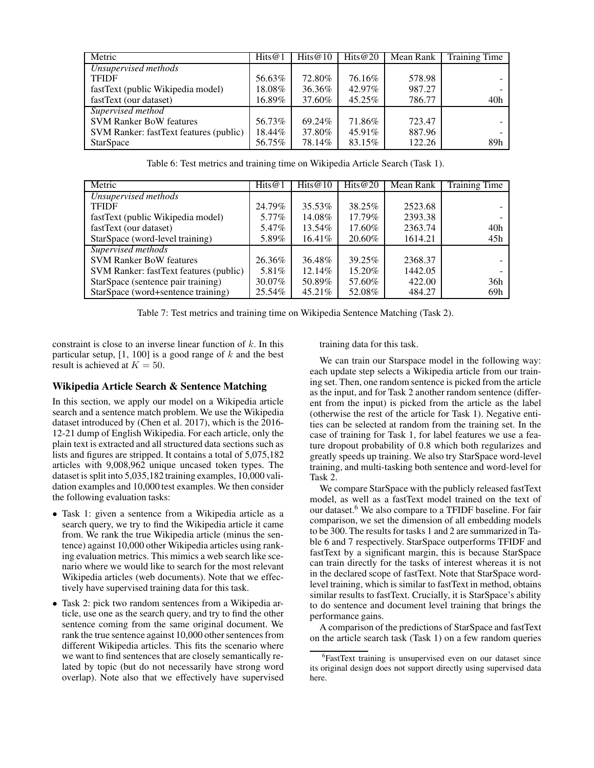| Metric                                 | Hits $@1$ | Hits@10 | Hits@20 | Mean Rank | <b>Training Time</b> |
|----------------------------------------|-----------|---------|---------|-----------|----------------------|
| Unsupervised methods                   |           |         |         |           |                      |
| <b>TFIDF</b>                           | 56.63%    | 72.80%  | 76.16%  | 578.98    |                      |
| fastText (public Wikipedia model)      | $18.08\%$ | 36.36%  | 42.97%  | 987.27    |                      |
| fastText (our dataset)                 | 16.89%    | 37.60%  | 45.25%  | 786.77    | 40h                  |
| Supervised method                      |           |         |         |           |                      |
| <b>SVM Ranker BoW features</b>         | 56.73%    | 69.24%  | 71.86%  | 723.47    |                      |
| SVM Ranker: fastText features (public) | 18.44%    | 37.80%  | 45.91%  | 887.96    |                      |
| <b>StarSpace</b>                       | 56.75%    | 78.14%  | 83.15%  | 122.26    | 89h                  |

Table 6: Test metrics and training time on Wikipedia Article Search (Task 1).

| Metric                                 | Hits $@1$ | Hits $@10$ | Hits@20 | Mean Rank | <b>Training Time</b> |
|----------------------------------------|-----------|------------|---------|-----------|----------------------|
| Unsupervised methods                   |           |            |         |           |                      |
| <b>TFIDF</b>                           | 24.79%    | 35.53%     | 38.25%  | 2523.68   |                      |
| fastText (public Wikipedia model)      | 5.77%     | 14.08%     | 17.79%  | 2393.38   |                      |
| fastText (our dataset)                 | 5.47%     | 13.54%     | 17.60%  | 2363.74   | 40h                  |
| StarSpace (word-level training)        | 5.89%     | $16.41\%$  | 20.60%  | 1614.21   | 45h                  |
| Supervised methods                     |           |            |         |           |                      |
| <b>SVM Ranker BoW features</b>         | 26.36%    | 36.48%     | 39.25%  | 2368.37   |                      |
| SVM Ranker: fastText features (public) | 5.81\%    | 12.14\%    | 15.20%  | 1442.05   |                      |
| StarSpace (sentence pair training)     | 30.07%    | 50.89%     | 57.60%  | 422.00    | 36h                  |
| StarSpace (word+sentence training)     | 25.54%    | 45.21\%    | 52.08%  | 484.27    | 69h                  |

Table 7: Test metrics and training time on Wikipedia Sentence Matching (Task 2).

constraint is close to an inverse linear function of  $k$ . In this particular setup,  $[1, 100]$  is a good range of k and the best result is achieved at  $K = 50$ .

## Wikipedia Article Search & Sentence Matching

In this section, we apply our model on a Wikipedia article search and a sentence match problem. We use the Wikipedia dataset introduced by (Chen et al. 2017), which is the 2016- 12-21 dump of English Wikipedia. For each article, only the plain text is extracted and all structured data sections such as lists and figures are stripped. It contains a total of 5,075,182 articles with 9,008,962 unique uncased token types. The dataset is split into 5,035,182 training examples, 10,000 validation examples and 10,000 test examples. We then consider the following evaluation tasks:

- Task 1: given a sentence from a Wikipedia article as a search query, we try to find the Wikipedia article it came from. We rank the true Wikipedia article (minus the sentence) against 10,000 other Wikipedia articles using ranking evaluation metrics. This mimics a web search like scenario where we would like to search for the most relevant Wikipedia articles (web documents). Note that we effectively have supervised training data for this task.
- Task 2: pick two random sentences from a Wikipedia article, use one as the search query, and try to find the other sentence coming from the same original document. We rank the true sentence against 10,000 other sentences from different Wikipedia articles. This fits the scenario where we want to find sentences that are closely semantically related by topic (but do not necessarily have strong word overlap). Note also that we effectively have supervised

training data for this task.

We can train our Starspace model in the following way: each update step selects a Wikipedia article from our training set. Then, one random sentence is picked from the article as the input, and for Task 2 another random sentence (different from the input) is picked from the article as the label (otherwise the rest of the article for Task 1). Negative entities can be selected at random from the training set. In the case of training for Task 1, for label features we use a feature dropout probability of 0.8 which both regularizes and greatly speeds up training. We also try StarSpace word-level training, and multi-tasking both sentence and word-level for Task 2.

We compare StarSpace with the publicly released fastText model, as well as a fastText model trained on the text of our dataset.<sup>6</sup> We also compare to a TFIDF baseline. For fair comparison, we set the dimension of all embedding models to be 300. The results for tasks 1 and 2 are summarized in Table 6 and 7 respectively. StarSpace outperforms TFIDF and fastText by a significant margin, this is because StarSpace can train directly for the tasks of interest whereas it is not in the declared scope of fastText. Note that StarSpace wordlevel training, which is similar to fastText in method, obtains similar results to fastText. Crucially, it is StarSpace's ability to do sentence and document level training that brings the performance gains.

A comparison of the predictions of StarSpace and fastText on the article search task (Task 1) on a few random queries

<sup>6</sup> FastText training is unsupervised even on our dataset since its original design does not support directly using supervised data here.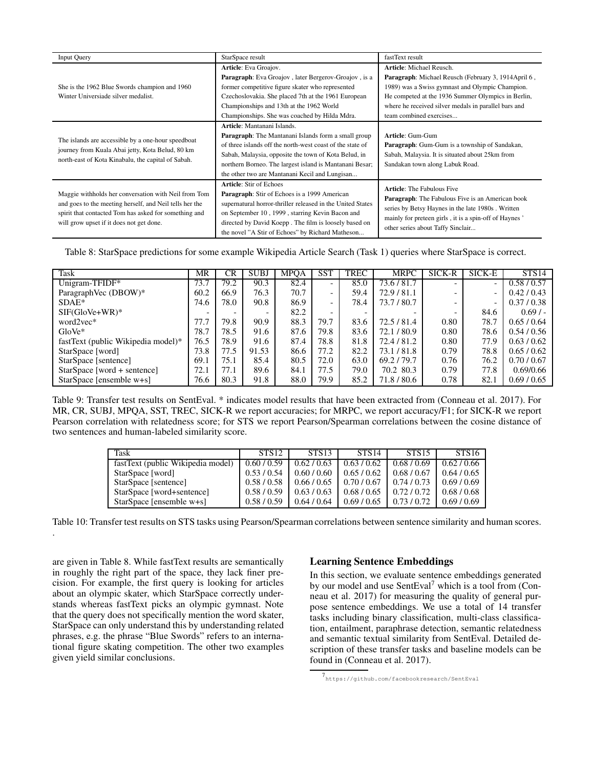| <b>Input Query</b>                                      | StarSpace result                                            | fastText result                                                                                              |
|---------------------------------------------------------|-------------------------------------------------------------|--------------------------------------------------------------------------------------------------------------|
|                                                         | Article: Eva Groajov.                                       | Article: Michael Reusch.                                                                                     |
|                                                         | <b>Paragraph:</b> Eva Groajov, later Bergerov-Groajov, is a | Paragraph: Michael Reusch (February 3, 1914April 6,                                                          |
| She is the 1962 Blue Swords champion and 1960           | former competitive figure skater who represented            | 1989) was a Swiss gymnast and Olympic Champion.                                                              |
| Winter Universiade silver medalist.                     | Czechoslovakia. She placed 7th at the 1961 European         | He competed at the 1936 Summer Olympics in Berlin,                                                           |
|                                                         | Championships and 13th at the 1962 World                    | where he received silver medals in parallel bars and                                                         |
|                                                         | Championships. She was coached by Hilda Mdra.               | team combined exercises                                                                                      |
|                                                         | Article: Mantanani Islands.                                 |                                                                                                              |
|                                                         | Paragraph: The Mantanani Islands form a small group         | <b>Article: Gum-Gum</b>                                                                                      |
| The islands are accessible by a one-hour speedboat      | of three islands off the north-west coast of the state of   | <b>Paragraph:</b> Gum-Gum is a township of Sandakan,                                                         |
| journey from Kuala Abai jetty, Kota Belud, 80 km        | Sabah, Malaysia, opposite the town of Kota Belud, in        | Sabah, Malaysia. It is situated about 25km from                                                              |
| north-east of Kota Kinabalu, the capital of Sabah.      | northern Borneo. The largest island is Mantanani Besar;     | Sandakan town along Labuk Road.                                                                              |
|                                                         | the other two are Mantanani Kecil and Lungisan              |                                                                                                              |
|                                                         | <b>Article: Stir of Echoes</b>                              | <b>Article:</b> The Fabulous Five                                                                            |
| Maggie withholds her conversation with Neil from Tom    | Paragraph: Stir of Echoes is a 1999 American                |                                                                                                              |
| and goes to the meeting herself, and Neil tells her the | supernatural horror-thriller released in the United States  | <b>Paragraph:</b> The Fabulous Five is an American book<br>series by Betsy Haynes in the late 1980s. Written |
| spirit that contacted Tom has asked for something and   | on September 10, 1999, starring Kevin Bacon and             | mainly for preteen girls, it is a spin-off of Haynes'                                                        |
| will grow upset if it does not get done.                | directed by David Koepp. The film is loosely based on       | other series about Taffy Sinclair                                                                            |
|                                                         | the novel "A Stir of Echoes" by Richard Matheson            |                                                                                                              |

Table 8: StarSpace predictions for some example Wikipedia Article Search (Task 1) queries where StarSpace is correct.

| Task                               | MR   | CR.  | <b>SUBJ</b>              | <b>MPOA</b> | <b>SST</b> | TREC | <b>MRPC</b> | SICK-R                   | SICK-E                   | STS14       |
|------------------------------------|------|------|--------------------------|-------------|------------|------|-------------|--------------------------|--------------------------|-------------|
| Unigram-TFIDF*                     | 73.7 | 79.2 | 90.3                     | 82.4        |            | 85.0 | 73.6/81.7   | $\overline{\phantom{0}}$ | ۰                        | 0.58 / 0.57 |
| ParagraphVec (DBOW)*               | 60.2 | 66.9 | 76.3                     | 70.7        | -          | 59.4 | 72.9/81.1   | -                        | ۰                        | 0.42/0.43   |
| $SDAE*$                            | 74.6 | 78.0 | 90.8                     | 86.9        | -          | 78.4 | 73.7/80.7   | $\overline{\phantom{0}}$ | $\overline{\phantom{a}}$ | 0.37/0.38   |
| $SIF(GloVe+WR)^*$                  |      | -    | $\overline{\phantom{a}}$ | 82.2        |            |      |             | $\overline{\phantom{0}}$ | 84.6                     | 0.69/       |
| word2vec*                          | 77.7 | 79.8 | 90.9                     | 88.3        | 79.7       | 83.6 | 72.5 / 81.4 | 0.80                     | 78.7                     | 0.65/0.64   |
| $GloVe*$                           | 78.7 | 78.5 | 91.6                     | 87.6        | 79.8       | 83.6 | 72.1/80.9   | 0.80                     | 78.6                     | 0.54/0.56   |
| fastText (public Wikipedia model)* | 76.5 | 78.9 | 91.6                     | 87.4        | 78.8       | 81.8 | 72.4 / 81.2 | 0.80                     | 77.9                     | 0.63/0.62   |
| StarSpace [word]                   | 73.8 | 77.5 | 91.53                    | 86.6        | 77.2       | 82.2 | 73.1/81.8   | 0.79                     | 78.8                     | 0.65/0.62   |
| StarSpace [sentence]               | 69.1 | 75.1 | 85.4                     | 80.5        | 72.0       | 63.0 | 69.2/79.7   | 0.76                     | 76.2                     | 0.70/0.67   |
| $StarSpace$ [word + sentence]      | 72.1 | 77.1 | 89.6                     | 84.1        | 77.5       | 79.0 | 70.2 80.3   | 0.79                     | 77.8                     | 0.69/0.66   |
| StarSpace [ensemble w+s]           | 76.6 | 80.3 | 91.8                     | 88.0        | 79.9       | 85.2 | 71.8 / 80.6 | 0.78                     | 82.1                     | 0.69/0.65   |

Table 9: Transfer test results on SentEval. \* indicates model results that have been extracted from (Conneau et al. 2017). For MR, CR, SUBJ, MPQA, SST, TREC, SICK-R we report accuracies; for MRPC, we report accuracy/F1; for SICK-R we report Pearson correlation with relatedness score; for STS we report Pearson/Spearman correlations between the cosine distance of two sentences and human-labeled similarity score.

| Task                              | STS <sub>12</sub> | <b>STS13</b> | <b>STS14</b> | <b>STS15</b> | <b>STS16</b> |
|-----------------------------------|-------------------|--------------|--------------|--------------|--------------|
| fastText (public Wikipedia model) | 0.60/0.59         | 0.62 / 0.63  | 0.63/0.62    | 0.68/0.69    | 0.62/0.66    |
| StarSpace [word]                  | 0.53/0.54         | 0.60 / 0.60  | 0.65/0.62    | 0.68/0.67    | 0.64/0.65    |
| StarSpace [sentence]              | 0.58/0.58         | 0.66/0.65    | 0.70/0.67    | 0.74/0.73    | 0.69/0.69    |
| StarSpace [word+sentence]         | 0.58/0.59         | 0.63/0.63    | 0.68/0.65    | 0.72/0.72    | 0.68/0.68    |
| StarSpace [ensemble w+s]          | 0.58/0.59         | 0.64/0.64    | 0.69/0.65    | 0.73/0.72    | 0.69/0.69    |

Table 10: Transfer test results on STS tasks using Pearson/Spearman correlations between sentence similarity and human scores.

are given in Table 8. While fastText results are semantically in roughly the right part of the space, they lack finer precision. For example, the first query is looking for articles about an olympic skater, which StarSpace correctly understands whereas fastText picks an olympic gymnast. Note that the query does not specifically mention the word skater, StarSpace can only understand this by understanding related phrases, e.g. the phrase "Blue Swords" refers to an international figure skating competition. The other two examples given yield similar conclusions.

.

## Learning Sentence Embeddings

In this section, we evaluate sentence embeddings generated by our model and use SentEval<sup>7</sup> which is a tool from (Conneau et al. 2017) for measuring the quality of general purpose sentence embeddings. We use a total of 14 transfer tasks including binary classification, multi-class classification, entailment, paraphrase detection, semantic relatedness and semantic textual similarity from SentEval. Detailed description of these transfer tasks and baseline models can be found in (Conneau et al. 2017).

<sup>7</sup> https://github.com/facebookresearch/SentEval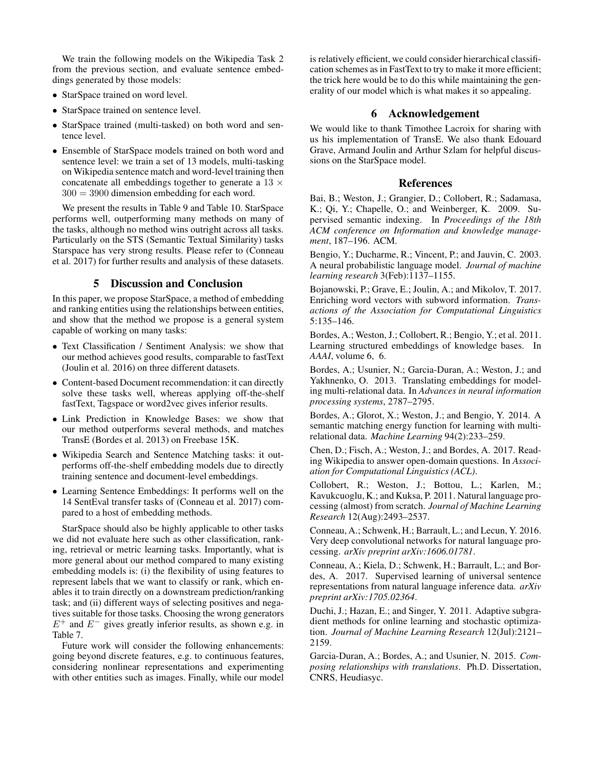We train the following models on the Wikipedia Task 2 from the previous section, and evaluate sentence embeddings generated by those models:

- StarSpace trained on word level.
- StarSpace trained on sentence level.
- StarSpace trained (multi-tasked) on both word and sentence level.
- Ensemble of StarSpace models trained on both word and sentence level: we train a set of 13 models, multi-tasking on Wikipedia sentence match and word-level training then concatenate all embeddings together to generate a  $13 \times$  $300 = 3900$  dimension embedding for each word.

We present the results in Table 9 and Table 10. StarSpace performs well, outperforming many methods on many of the tasks, although no method wins outright across all tasks. Particularly on the STS (Semantic Textual Similarity) tasks Starspace has very strong results. Please refer to (Conneau et al. 2017) for further results and analysis of these datasets.

# 5 Discussion and Conclusion

In this paper, we propose StarSpace, a method of embedding and ranking entities using the relationships between entities, and show that the method we propose is a general system capable of working on many tasks:

- Text Classification / Sentiment Analysis: we show that our method achieves good results, comparable to fastText (Joulin et al. 2016) on three different datasets.
- Content-based Document recommendation: it can directly solve these tasks well, whereas applying off-the-shelf fastText, Tagspace or word2vec gives inferior results.
- Link Prediction in Knowledge Bases: we show that our method outperforms several methods, and matches TransE (Bordes et al. 2013) on Freebase 15K.
- Wikipedia Search and Sentence Matching tasks: it outperforms off-the-shelf embedding models due to directly training sentence and document-level embeddings.
- Learning Sentence Embeddings: It performs well on the 14 SentEval transfer tasks of (Conneau et al. 2017) compared to a host of embedding methods.

StarSpace should also be highly applicable to other tasks we did not evaluate here such as other classification, ranking, retrieval or metric learning tasks. Importantly, what is more general about our method compared to many existing embedding models is: (i) the flexibility of using features to represent labels that we want to classify or rank, which enables it to train directly on a downstream prediction/ranking task; and (ii) different ways of selecting positives and negatives suitable for those tasks. Choosing the wrong generators  $E^+$  and  $E^-$  gives greatly inferior results, as shown e.g. in Table 7.

Future work will consider the following enhancements: going beyond discrete features, e.g. to continuous features, considering nonlinear representations and experimenting with other entities such as images. Finally, while our model is relatively efficient, we could consider hierarchical classification schemes as in FastText to try to make it more efficient; the trick here would be to do this while maintaining the generality of our model which is what makes it so appealing.

# 6 Acknowledgement

We would like to thank Timothee Lacroix for sharing with us his implementation of TransE. We also thank Edouard Grave, Armand Joulin and Arthur Szlam for helpful discussions on the StarSpace model.

#### **References**

Bai, B.; Weston, J.; Grangier, D.; Collobert, R.; Sadamasa, K.; Qi, Y.; Chapelle, O.; and Weinberger, K. 2009. Supervised semantic indexing. In *Proceedings of the 18th ACM conference on Information and knowledge management*, 187–196. ACM.

Bengio, Y.; Ducharme, R.; Vincent, P.; and Jauvin, C. 2003. A neural probabilistic language model. *Journal of machine learning research* 3(Feb):1137–1155.

Bojanowski, P.; Grave, E.; Joulin, A.; and Mikolov, T. 2017. Enriching word vectors with subword information. *Transactions of the Association for Computational Linguistics* 5:135–146.

Bordes, A.; Weston, J.; Collobert, R.; Bengio, Y.; et al. 2011. Learning structured embeddings of knowledge bases. In *AAAI*, volume 6, 6.

Bordes, A.; Usunier, N.; Garcia-Duran, A.; Weston, J.; and Yakhnenko, O. 2013. Translating embeddings for modeling multi-relational data. In *Advances in neural information processing systems*, 2787–2795.

Bordes, A.; Glorot, X.; Weston, J.; and Bengio, Y. 2014. A semantic matching energy function for learning with multirelational data. *Machine Learning* 94(2):233–259.

Chen, D.; Fisch, A.; Weston, J.; and Bordes, A. 2017. Reading Wikipedia to answer open-domain questions. In *Association for Computational Linguistics (ACL)*.

Collobert, R.; Weston, J.; Bottou, L.; Karlen, M.; Kavukcuoglu, K.; and Kuksa, P. 2011. Natural language processing (almost) from scratch. *Journal of Machine Learning Research* 12(Aug):2493–2537.

Conneau, A.; Schwenk, H.; Barrault, L.; and Lecun, Y. 2016. Very deep convolutional networks for natural language processing. *arXiv preprint arXiv:1606.01781*.

Conneau, A.; Kiela, D.; Schwenk, H.; Barrault, L.; and Bordes, A. 2017. Supervised learning of universal sentence representations from natural language inference data. *arXiv preprint arXiv:1705.02364*.

Duchi, J.; Hazan, E.; and Singer, Y. 2011. Adaptive subgradient methods for online learning and stochastic optimization. *Journal of Machine Learning Research* 12(Jul):2121– 2159.

Garcia-Duran, A.; Bordes, A.; and Usunier, N. 2015. *Composing relationships with translations*. Ph.D. Dissertation, CNRS, Heudiasyc.